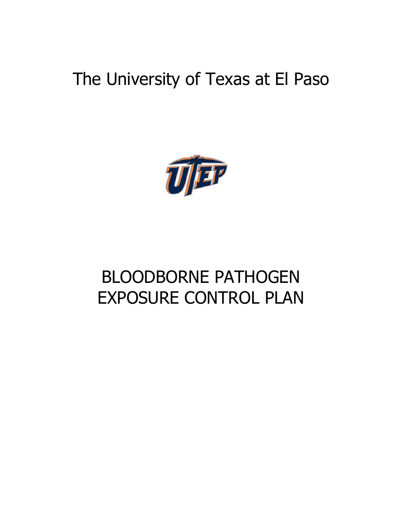# The University of Texas at El Paso



# BLOODBORNE PATHOGEN EXPOSURE CONTROL PLAN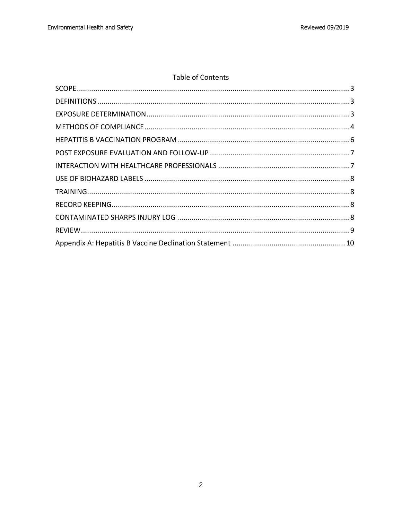# Table of Contents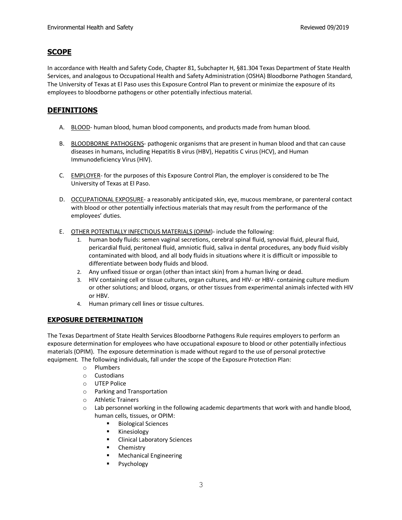### **SCOPE**

In accordance with Health and Safety Code, Chapter 81, Subchapter H, §81.304 Texas Department of State Health Services, and analogous to Occupational Health and Safety Administration (OSHA) Bloodborne Pathogen Standard, The University of Texas at El Paso uses this Exposure Control Plan to prevent or minimize the exposure of its employees to bloodborne pathogens or other potentially infectious material.

# **DEFINITIONS**

- A. BLOOD- human blood, human blood components, and products made from human blood.
- B. BLOODBORNE PATHOGENS- pathogenic organisms that are present in human blood and that can cause diseases in humans, including Hepatitis B virus (HBV), Hepatitis C virus (HCV), and Human Immunodeficiency Virus (HIV).
- C. EMPLOYER- for the purposes of this Exposure Control Plan, the employer is considered to be The University of Texas at El Paso.
- D. OCCUPATIONAL EXPOSURE- a reasonably anticipated skin, eye, mucous membrane, or parenteral contact with blood or other potentially infectious materials that may result from the performance of the employees' duties.
- E. OTHER POTENTIALLY INFECTIOUS MATERIALS (OPIM)- include the following:
	- 1. human body fluids: semen vaginal secretions, cerebral spinal fluid, synovial fluid, pleural fluid, pericardial fluid, peritoneal fluid, amniotic fluid, saliva in dental procedures, any body fluid visibly contaminated with blood, and all body fluids in situations where it is difficult or impossible to differentiate between body fluids and blood.
	- 2. Any unfixed tissue or organ (other than intact skin) from a human living or dead.
	- 3. HIV containing cell or tissue cultures, organ cultures, and HIV- or HBV- containing culture medium or other solutions; and blood, organs, or other tissues from experimental animals infected with HIV or HBV.
	- 4. Human primary cell lines or tissue cultures.

#### **EXPOSURE DETERMINATION**

The Texas Department of State Health Services Bloodborne Pathogens Rule requires employers to perform an exposure determination for employees who have occupational exposure to blood or other potentially infectious materials (OPIM). The exposure determination is made without regard to the use of personal protective equipment. The following individuals, fall under the scope of the Exposure Protection Plan:

- o Plumbers
- o Custodians
- o UTEP Police
- o Parking and Transportation
- o Athletic Trainers
- $\circ$  Lab personnel working in the following academic departments that work with and handle blood, human cells, tissues, or OPIM:
	- Biological Sciences
	- § Kinesiology
	- Clinical Laboratory Sciences
	- Chemistry
	- Mechanical Engineering
	- § Psychology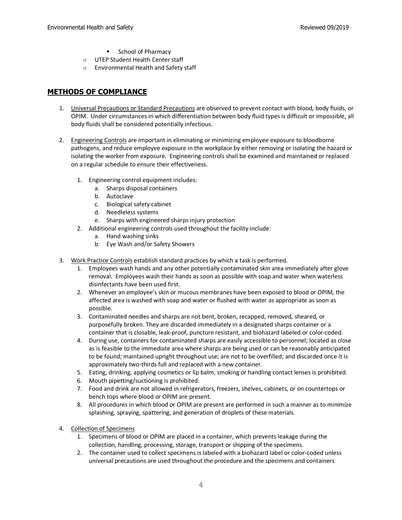- School of Pharmacy
- o UTEP Student Health Center staff
- o Environmental Health and Safety staff

### **METHODS OF COMPLIANCE**

- 1. Universal Precautions or Standard Precautions are observed to prevent contact with blood, body fluids, or OPIM. Under circumstances in which differentiation between body fluid types is difficult or impossible, all body fluids shall be considered potentially infectious.
- 2. Engineering Controls are important in eliminating or minimizing employee exposure to bloodborne pathogens, and reduce employee exposure in the workplace by either removing or isolating the hazard or isolating the worker from exposure. Engineering controls shall be examined and maintained or replaced on a regular schedule to ensure their effectiveness.
	- 1. Engineering control equipment includes:
		- a. Sharps disposal containers
		- b. Autoclave
		- c. Biological safety cabinet
		- d. Needleless systems
		- e. Sharps with engineered sharps injury protection
	- 2. Additional engineering controls used throughout the facility include:
		- a. Hand washing sinks
		- b. Eye Wash and/or Safety Showers
- 3. Work Practice Controls establish standard practices by which a task is performed.
	- 1. Employees wash hands and any other potentially contaminated skin area immediately after glove removal. Employees wash their hands as soon as possible with soap and water when waterless disinfectants have been used first.
	- 2. Whenever an employee's skin or mucous membranes have been exposed to blood or OPIM, the affected area is washed with soap and water or flushed with water as appropriate as soon as possible.
	- 3. Contaminated needles and sharps are not bent, broken, recapped, removed, sheared, or purposefully broken. They are discarded immediately in a designated sharps container or a container that is closable, leak-proof, puncture resistant, and biohazard labeled or color-coded.
	- 4. During use, containers for contaminated sharps are easily accessible to personnel; located as close as is feasible to the immediate area where sharps are being used or can be reasonably anticipated to be found; maintained upright throughout use; are not to be overfilled; and discarded once it is approximately two-thirds full and replaced with a new container.
	- 5. Eating, drinking, applying cosmetics or lip balm, smoking or handling contact lenses is prohibited.
	- 6. Mouth pipetting/suctioning is prohibited.
	- 7. Food and drink are not allowed in refrigerators, freezers, shelves, cabinets, or on countertops or bench tops where blood or OPIM are present.
	- 8. All procedures in which blood or OPIM are present are performed in such a manner as to minimize splashing, spraying, spattering, and generation of droplets of these materials.
- 4. Collection of Specimens
	- 1. Specimens of blood or OPIM are placed in a container, which prevents leakage during the collection, handling, processing, storage, transport or shipping of the specimens.
	- 2. The container used to collect specimens is labeled with a biohazard label or color-coded unless universal precautions are used throughout the procedure and the specimens and containers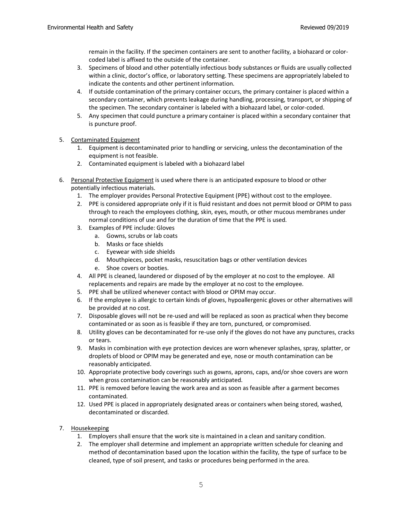remain in the facility. If the specimen containers are sent to another facility, a biohazard or colorcoded label is affixed to the outside of the container.

- 3. Specimens of blood and other potentially infectious body substances or fluids are usually collected within a clinic, doctor's office, or laboratory setting. These specimens are appropriately labeled to indicate the contents and other pertinent information.
- 4. If outside contamination of the primary container occurs, the primary container is placed within a secondary container, which prevents leakage during handling, processing, transport, or shipping of the specimen. The secondary container is labeled with a biohazard label, or color-coded.
- 5. Any specimen that could puncture a primary container is placed within a secondary container that is puncture proof.
- 5. Contaminated Equipment
	- 1. Equipment is decontaminated prior to handling or servicing, unless the decontamination of the equipment is not feasible.
	- 2. Contaminated equipment is labeled with a biohazard label
- 6. Personal Protective Equipment is used where there is an anticipated exposure to blood or other potentially infectious materials.
	- 1. The employer provides Personal Protective Equipment (PPE) without cost to the employee.
	- 2. PPE is considered appropriate only if it is fluid resistant and does not permit blood or OPIM to pass through to reach the employees clothing, skin, eyes, mouth, or other mucous membranes under normal conditions of use and for the duration of time that the PPE is used.
	- 3. Examples of PPE include: Gloves
		- a. Gowns, scrubs or lab coats
		- b. Masks or face shields
		- c. Eyewear with side shields
		- d. Mouthpieces, pocket masks, resuscitation bags or other ventilation devices
		- e. Shoe covers or booties.
	- 4. All PPE is cleaned, laundered or disposed of by the employer at no cost to the employee. All replacements and repairs are made by the employer at no cost to the employee.
	- 5. PPE shall be utilized whenever contact with blood or OPIM may occur.
	- 6. If the employee is allergic to certain kinds of gloves, hypoallergenic gloves or other alternatives will be provided at no cost.
	- 7. Disposable gloves will not be re-used and will be replaced as soon as practical when they become contaminated or as soon as is feasible if they are torn, punctured, or compromised.
	- 8. Utility gloves can be decontaminated for re-use only if the gloves do not have any punctures, cracks or tears.
	- 9. Masks in combination with eye protection devices are worn whenever splashes, spray, splatter, or droplets of blood or OPIM may be generated and eye, nose or mouth contamination can be reasonably anticipated.
	- 10. Appropriate protective body coverings such as gowns, aprons, caps, and/or shoe covers are worn when gross contamination can be reasonably anticipated.
	- 11. PPE is removed before leaving the work area and as soon as feasible after a garment becomes contaminated.
	- 12. Used PPE is placed in appropriately designated areas or containers when being stored, washed, decontaminated or discarded.
- 7. Housekeeping
	- 1. Employers shall ensure that the work site is maintained in a clean and sanitary condition.
	- 2. The employer shall determine and implement an appropriate written schedule for cleaning and method of decontamination based upon the location within the facility, the type of surface to be cleaned, type of soil present, and tasks or procedures being performed in the area.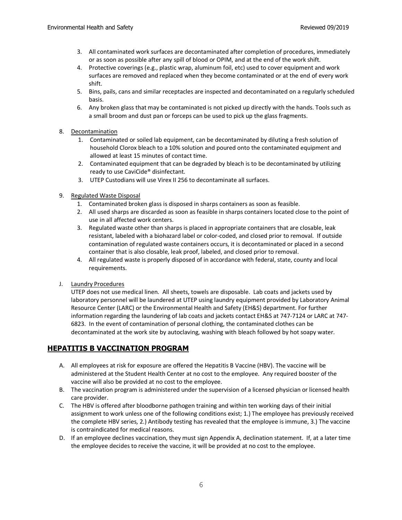- 3. All contaminated work surfaces are decontaminated after completion of procedures, immediately or as soon as possible after any spill of blood or OPIM, and at the end of the work shift.
- 4. Protective coverings (e.g., plastic wrap, aluminum foil, etc) used to cover equipment and work surfaces are removed and replaced when they become contaminated or at the end of every work shift.
- 5. Bins, pails, cans and similar receptacles are inspected and decontaminated on a regularly scheduled basis.
- 6. Any broken glass that may be contaminated is not picked up directly with the hands. Tools such as a small broom and dust pan or forceps can be used to pick up the glass fragments.

#### 8. Decontamination

- 1. Contaminated or soiled lab equipment, can be decontaminated by diluting a fresh solution of household Clorox bleach to a 10% solution and poured onto the contaminated equipment and allowed at least 15 minutes of contact time.
- 2. Contaminated equipment that can be degraded by bleach is to be decontaminated by utilizing ready to use CaviCide® disinfectant.
- 3. UTEP Custodians will use Virex II 256 to decontaminate all surfaces.
- 9. Regulated Waste Disposal
	- 1. Contaminated broken glass is disposed in sharps containers as soon as feasible.
	- 2. All used sharps are discarded as soon as feasible in sharps containers located close to the point of use in all affected work centers.
	- 3. Regulated waste other than sharps is placed in appropriate containers that are closable, leak resistant, labeled with a biohazard label or color-coded, and closed prior to removal. If outside contamination of regulated waste containers occurs, it is decontaminated or placed in a second container that is also closable, leak proof, labeled, and closed prior to removal.
	- 4. All regulated waste is properly disposed of in accordance with federal, state, county and local requirements.
- J. Laundry Procedures

UTEP does not use medical linen. All sheets, towels are disposable. Lab coats and jackets used by laboratory personnel will be laundered at UTEP using laundry equipment provided by Laboratory Animal Resource Center (LARC) or the Environmental Health and Safety (EH&S) department. For further information regarding the laundering of lab coats and jackets contact EH&S at 747-7124 or LARC at 747- 6823. In the event of contamination of personal clothing, the contaminated clothes can be decontaminated at the work site by autoclaving, washing with bleach followed by hot soapy water.

# **HEPATITIS B VACCINATION PROGRAM**

- A. All employees at risk for exposure are offered the Hepatitis B Vaccine (HBV). The vaccine will be administered at the Student Health Center at no cost to the employee. Any required booster of the vaccine will also be provided at no cost to the employee.
- B. The vaccination program is administered under the supervision of a licensed physician or licensed health care provider.
- C. The HBV is offered after bloodborne pathogen training and within ten working days of their initial assignment to work unless one of the following conditions exist; 1.) The employee has previously received the complete HBV series, 2.) Antibody testing has revealed that the employee is immune, 3.) The vaccine is contraindicated for medical reasons.
- D. If an employee declines vaccination, they must sign Appendix A, declination statement. If, at a later time the employee decides to receive the vaccine, it will be provided at no cost to the employee.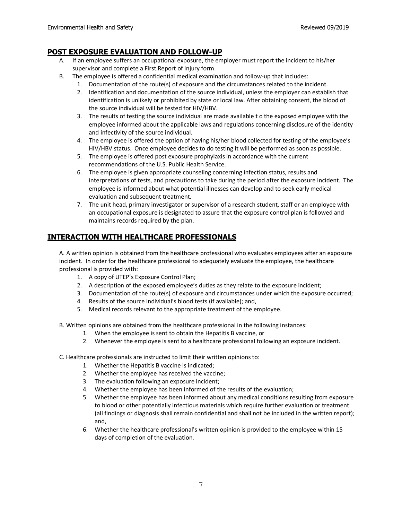#### **POST EXPOSURE EVALUATION AND FOLLOW-UP**

- A. If an employee suffers an occupational exposure, the employer must report the incident to his/her supervisor and complete a First Report of Injury form.
- B. The employee is offered a confidential medical examination and follow-up that includes:
	- 1. Documentation of the route(s) of exposure and the circumstances related to the incident.
	- 2. Identification and documentation of the source individual, unless the employer can establish that identification is unlikely or prohibited by state or local law. After obtaining consent, the blood of the source individual will be tested for HIV/HBV.
	- 3. The results of testing the source individual are made available t o the exposed employee with the employee informed about the applicable laws and regulations concerning disclosure of the identity and infectivity of the source individual.
	- 4. The employee is offered the option of having his/her blood collected for testing of the employee's HIV/HBV status. Once employee decides to do testing it will be performed as soon as possible.
	- 5. The employee is offered post exposure prophylaxis in accordance with the current recommendations of the U.S. Public Health Service.
	- 6. The employee is given appropriate counseling concerning infection status, results and interpretations of tests, and precautions to take during the period after the exposure incident. The employee is informed about what potential illnesses can develop and to seek early medical evaluation and subsequent treatment.
	- 7. The unit head, primary investigator or supervisor of a research student, staff or an employee with an occupational exposure is designated to assure that the exposure control plan is followed and maintains records required by the plan.

# **INTERACTION WITH HEALTHCARE PROFESSIONALS**

A. A written opinion is obtained from the healthcare professional who evaluates employees after an exposure incident. In order for the healthcare professional to adequately evaluate the employee, the healthcare professional is provided with:

- 1. A copy of UTEP's Exposure Control Plan;
- 2. A description of the exposed employee's duties as they relate to the exposure incident;
- 3. Documentation of the route(s) of exposure and circumstances under which the exposure occurred;
- 4. Results of the source individual's blood tests (if available); and,
- 5. Medical records relevant to the appropriate treatment of the employee.
- B. Written opinions are obtained from the healthcare professional in the following instances:
	- 1. When the employee is sent to obtain the Hepatitis B vaccine, or
	- 2. Whenever the employee is sent to a healthcare professional following an exposure incident.
- C. Healthcare professionals are instructed to limit their written opinions to:
	- 1. Whether the Hepatitis B vaccine is indicated;
	- 2. Whether the employee has received the vaccine;
	- 3. The evaluation following an exposure incident;
	- 4. Whether the employee has been informed of the results of the evaluation;
	- 5. Whether the employee has been informed about any medical conditions resulting from exposure to blood or other potentially infectious materials which require further evaluation or treatment (all findings or diagnosis shall remain confidential and shall not be included in the written report); and,
	- 6. Whether the healthcare professional's written opinion is provided to the employee within 15 days of completion of the evaluation.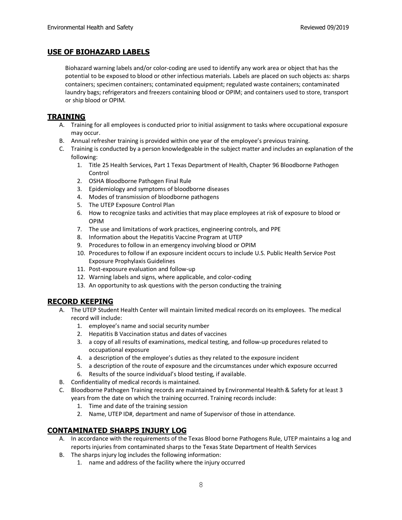#### **USE OF BIOHAZARD LABELS**

Biohazard warning labels and/or color-coding are used to identify any work area or object that has the potential to be exposed to blood or other infectious materials. Labels are placed on such objects as: sharps containers; specimen containers; contaminated equipment; regulated waste containers; contaminated laundry bags; refrigerators and freezers containing blood or OPIM; and containers used to store, transport or ship blood or OPIM.

#### **TRAINING**

- A. Training for all employees is conducted prior to initial assignment to tasks where occupational exposure may occur.
- B. Annual refresher training is provided within one year of the employee's previous training.
- C. Training is conducted by a person knowledgeable in the subject matter and includes an explanation of the following:
	- 1. Title 25 Health Services, Part 1 Texas Department of Health, Chapter 96 Bloodborne Pathogen Control
	- 2. OSHA Bloodborne Pathogen Final Rule
	- 3. Epidemiology and symptoms of bloodborne diseases
	- 4. Modes of transmission of bloodborne pathogens
	- 5. The UTEP Exposure Control Plan
	- 6. How to recognize tasks and activities that may place employees at risk of exposure to blood or OPIM
	- 7. The use and limitations of work practices, engineering controls, and PPE
	- 8. Information about the Hepatitis Vaccine Program at UTEP
	- 9. Procedures to follow in an emergency involving blood or OPIM
	- 10. Procedures to follow if an exposure incident occurs to include U.S. Public Health Service Post Exposure Prophylaxis Guidelines
	- 11. Post-exposure evaluation and follow-up
	- 12. Warning labels and signs, where applicable, and color-coding
	- 13. An opportunity to ask questions with the person conducting the training

#### **RECORD KEEPING**

- A. The UTEP Student Health Center will maintain limited medical records on its employees. The medical record will include:
	- 1. employee's name and social security number
	- 2. Hepatitis B Vaccination status and dates of vaccines
	- 3. a copy of all results of examinations, medical testing, and follow-up procedures related to occupational exposure
	- 4. a description of the employee's duties as they related to the exposure incident
	- 5. a description of the route of exposure and the circumstances under which exposure occurred
	- 6. Results of the source individual's blood testing, if available.
- B. Confidentiality of medical records is maintained.
- C. Bloodborne Pathogen Training records are maintained by Environmental Health & Safety for at least 3 years from the date on which the training occurred. Training records include:
	- 1. Time and date of the training session
	- 2. Name, UTEP ID#, department and name of Supervisor of those in attendance.

# **CONTAMINATED SHARPS INJURY LOG**

- A. In accordance with the requirements of the Texas Blood borne Pathogens Rule, UTEP maintains a log and reports injuries from contaminated sharps to the Texas State Department of Health Services
- B. The sharps injury log includes the following information:
	- 1. name and address of the facility where the injury occurred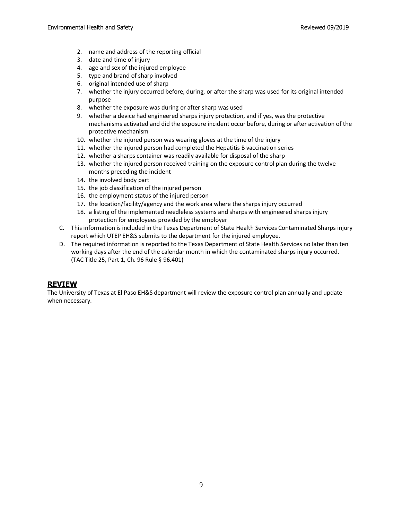- 2. name and address of the reporting official
- 3. date and time of injury
- 4. age and sex of the injured employee
- 5. type and brand of sharp involved
- 6. original intended use of sharp
- 7. whether the injury occurred before, during, or after the sharp was used for its original intended purpose
- 8. whether the exposure was during or after sharp was used
- 9. whether a device had engineered sharps injury protection, and if yes, was the protective mechanisms activated and did the exposure incident occur before, during or after activation of the protective mechanism
- 10. whether the injured person was wearing gloves at the time of the injury
- 11. whether the injured person had completed the Hepatitis B vaccination series
- 12. whether a sharps container was readily available for disposal of the sharp
- 13. whether the injured person received training on the exposure control plan during the twelve months preceding the incident
- 14. the involved body part
- 15. the job classification of the injured person
- 16. the employment status of the injured person
- 17. the location/facility/agency and the work area where the sharps injury occurred
- 18. a listing of the implemented needleless systems and sharps with engineered sharps injury protection for employees provided by the employer
- C. This information is included in the Texas Department of State Health Services Contaminated Sharps injury report which UTEP EH&S submits to the department for the injured employee.
- D. The required information is reported to the Texas Department of State Health Services no later than ten working days after the end of the calendar month in which the contaminated sharps injury occurred. (TAC Title 25, Part 1, Ch. 96 Rule § 96.401)

#### **REVIEW**

The University of Texas at El Paso EH&S department will review the exposure control plan annually and update when necessary.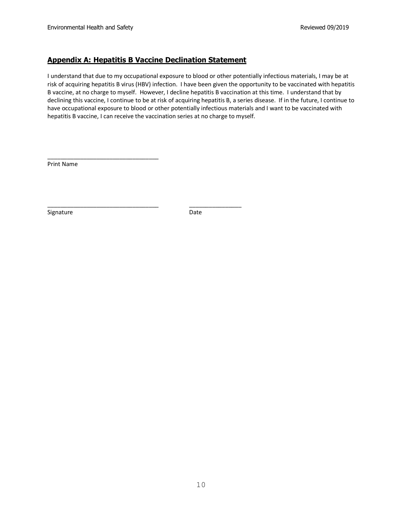\_\_\_\_\_\_\_\_\_\_\_\_\_\_\_\_\_\_\_\_\_\_\_\_\_\_\_\_\_\_\_\_\_\_

#### **Appendix A: Hepatitis B Vaccine Declination Statement**

\_\_\_\_\_\_\_\_\_\_\_\_\_\_\_\_\_\_\_\_\_\_\_\_\_\_\_\_\_\_\_\_\_\_ \_\_\_\_\_\_\_\_\_\_\_\_\_\_\_\_

I understand that due to my occupational exposure to blood or other potentially infectious materials, I may be at risk of acquiring hepatitis B virus (HBV) infection. I have been given the opportunity to be vaccinated with hepatitis B vaccine, at no charge to myself. However, I decline hepatitis B vaccination at this time. I understand that by declining this vaccine, I continue to be at risk of acquiring hepatitis B, a series disease. If in the future, I continue to have occupational exposure to blood or other potentially infectious materials and I want to be vaccinated with hepatitis B vaccine, I can receive the vaccination series at no charge to myself.

Print Name

Signature Date Date